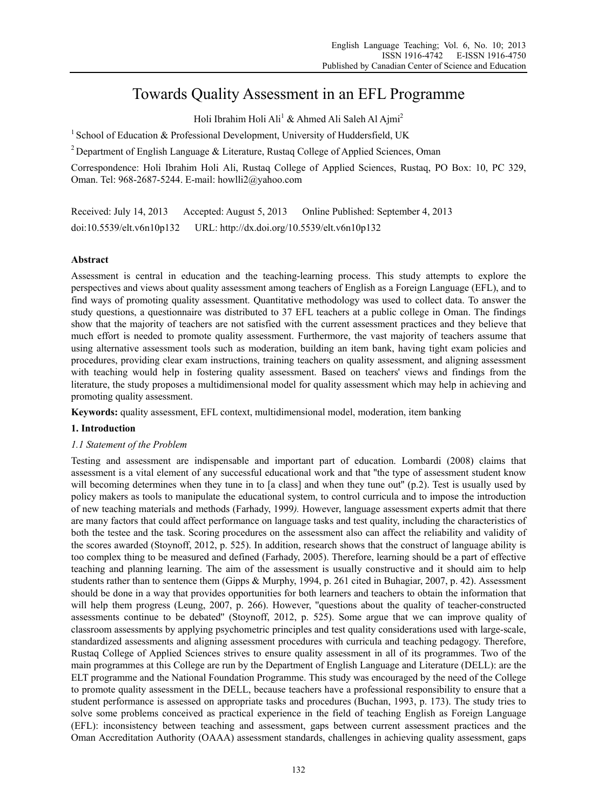# Towards Quality Assessment in an EFL Programme

Holi Ibrahim Holi Ali<sup>1</sup> & Ahmed Ali Saleh Al Ajmi<sup>2</sup>

<sup>1</sup> School of Education & Professional Development, University of Huddersfield, UK

2 Department of English Language & Literature, Rustaq College of Applied Sciences, Oman

Correspondence: Holi Ibrahim Holi Ali, Rustaq College of Applied Sciences, Rustaq, PO Box: 10, PC 329, Oman. Tel: 968-2687-5244. E-mail: howlli2@yahoo.com

Received: July 14, 2013 Accepted: August 5, 2013 Online Published: September 4, 2013 doi:10.5539/elt.v6n10p132 URL: http://dx.doi.org/10.5539/elt.v6n10p132

# **Abstract**

Assessment is central in education and the teaching-learning process. This study attempts to explore the perspectives and views about quality assessment among teachers of English as a Foreign Language (EFL), and to find ways of promoting quality assessment. Quantitative methodology was used to collect data. To answer the study questions, a questionnaire was distributed to 37 EFL teachers at a public college in Oman. The findings show that the majority of teachers are not satisfied with the current assessment practices and they believe that much effort is needed to promote quality assessment. Furthermore, the vast majority of teachers assume that using alternative assessment tools such as moderation, building an item bank, having tight exam policies and procedures, providing clear exam instructions, training teachers on quality assessment, and aligning assessment with teaching would help in fostering quality assessment. Based on teachers' views and findings from the literature, the study proposes a multidimensional model for quality assessment which may help in achieving and promoting quality assessment.

**Keywords:** quality assessment, EFL context, multidimensional model, moderation, item banking

# **1. Introduction**

# *1.1 Statement of the Problem*

Testing and assessment are indispensable and important part of education. Lombardi (2008) claims that assessment is a vital element of any successful educational work and that ''the type of assessment student know will becoming determines when they tune in to [a class] and when they tune out" (p.2). Test is usually used by policy makers as tools to manipulate the educational system, to control curricula and to impose the introduction of new teaching materials and methods (Farhady, 1999*).* However, language assessment experts admit that there are many factors that could affect performance on language tasks and test quality, including the characteristics of both the testee and the task. Scoring procedures on the assessment also can affect the reliability and validity of the scores awarded (Stoynoff, 2012, p. 525). In addition, research shows that the construct of language ability is too complex thing to be measured and defined (Farhady, 2005). Therefore, learning should be a part of effective teaching and planning learning. The aim of the assessment is usually constructive and it should aim to help students rather than to sentence them (Gipps & Murphy, 1994, p. 261 cited in Buhagiar, 2007, p. 42). Assessment should be done in a way that provides opportunities for both learners and teachers to obtain the information that will help them progress (Leung, 2007, p. 266). However, "questions about the quality of teacher-constructed assessments continue to be debated'' (Stoynoff, 2012, p. 525). Some argue that we can improve quality of classroom assessments by applying psychometric principles and test quality considerations used with large-scale, standardized assessments and aligning assessment procedures with curricula and teaching pedagogy. Therefore, Rustaq College of Applied Sciences strives to ensure quality assessment in all of its programmes. Two of the main programmes at this College are run by the Department of English Language and Literature (DELL): are the ELT programme and the National Foundation Programme. This study was encouraged by the need of the College to promote quality assessment in the DELL, because teachers have a professional responsibility to ensure that a student performance is assessed on appropriate tasks and procedures (Buchan, 1993, p. 173). The study tries to solve some problems conceived as practical experience in the field of teaching English as Foreign Language (EFL): inconsistency between teaching and assessment, gaps between current assessment practices and the Oman Accreditation Authority (OAAA) assessment standards, challenges in achieving quality assessment, gaps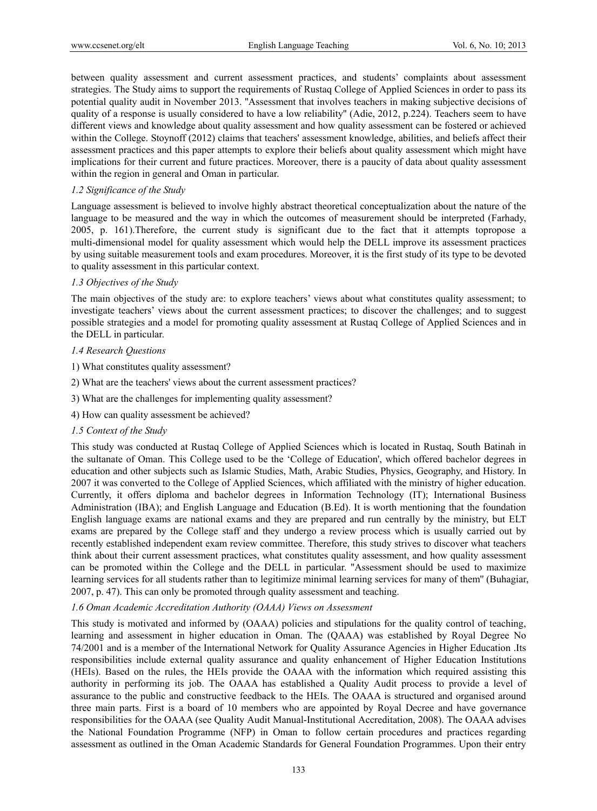between quality assessment and current assessment practices, and students' complaints about assessment strategies. The Study aims to support the requirements of Rustaq College of Applied Sciences in order to pass its potential quality audit in November 2013. ''Assessment that involves teachers in making subjective decisions of quality of a response is usually considered to have a low reliability'' (Adie, 2012, p.224). Teachers seem to have different views and knowledge about quality assessment and how quality assessment can be fostered or achieved within the College. Stoynoff (2012) claims that teachers' assessment knowledge, abilities, and beliefs affect their assessment practices and this paper attempts to explore their beliefs about quality assessment which might have implications for their current and future practices. Moreover, there is a paucity of data about quality assessment within the region in general and Oman in particular.

## *1.2 Significance of the Study*

Language assessment is believed to involve highly abstract theoretical conceptualization about the nature of the language to be measured and the way in which the outcomes of measurement should be interpreted (Farhady, 2005, p. 161).Therefore, the current study is significant due to the fact that it attempts topropose a multi-dimensional model for quality assessment which would help the DELL improve its assessment practices by using suitable measurement tools and exam procedures. Moreover, it is the first study of its type to be devoted to quality assessment in this particular context.

# *1.3 Objectives of the Study*

The main objectives of the study are: to explore teachers' views about what constitutes quality assessment; to investigate teachers' views about the current assessment practices; to discover the challenges; and to suggest possible strategies and a model for promoting quality assessment at Rustaq College of Applied Sciences and in the DELL in particular.

#### *1.4 Research Questions*

- 1) What constitutes quality assessment?
- 2) What are the teachers' views about the current assessment practices?
- 3) What are the challenges for implementing quality assessment?
- 4) How can quality assessment be achieved?

#### *1.5 Context of the Study*

This study was conducted at Rustaq College of Applied Sciences which is located in Rustaq, South Batinah in the sultanate of Oman. This College used to be the 'College of Education', which offered bachelor degrees in education and other subjects such as Islamic Studies, Math, Arabic Studies, Physics, Geography, and History. In 2007 it was converted to the College of Applied Sciences, which affiliated with the ministry of higher education. Currently, it offers diploma and bachelor degrees in Information Technology (IT); International Business Administration (IBA); and English Language and Education (B.Ed). It is worth mentioning that the foundation English language exams are national exams and they are prepared and run centrally by the ministry, but ELT exams are prepared by the College staff and they undergo a review process which is usually carried out by recently established independent exam review committee. Therefore, this study strives to discover what teachers think about their current assessment practices, what constitutes quality assessment, and how quality assessment can be promoted within the College and the DELL in particular. ''Assessment should be used to maximize learning services for all students rather than to legitimize minimal learning services for many of them'' (Buhagiar, 2007, p. 47). This can only be promoted through quality assessment and teaching.

#### *1.6 Oman Academic Accreditation Authority (OAAA) Views on Assessment*

This study is motivated and informed by (OAAA) policies and stipulations for the quality control of teaching, learning and assessment in higher education in Oman. The (QAAA) was established by Royal Degree No 74/2001 and is a member of the International Network for Quality Assurance Agencies in Higher Education .Its responsibilities include external quality assurance and quality enhancement of Higher Education Institutions (HEIs). Based on the rules, the HEIs provide the OAAA with the information which required assisting this authority in performing its job. The OAAA has established a Quality Audit process to provide a level of assurance to the public and constructive feedback to the HEIs. The OAAA is structured and organised around three main parts. First is a board of 10 members who are appointed by Royal Decree and have governance responsibilities for the OAAA (see Quality Audit Manual-Institutional Accreditation, 2008). The OAAA advises the National Foundation Programme (NFP) in Oman to follow certain procedures and practices regarding assessment as outlined in the Oman Academic Standards for General Foundation Programmes. Upon their entry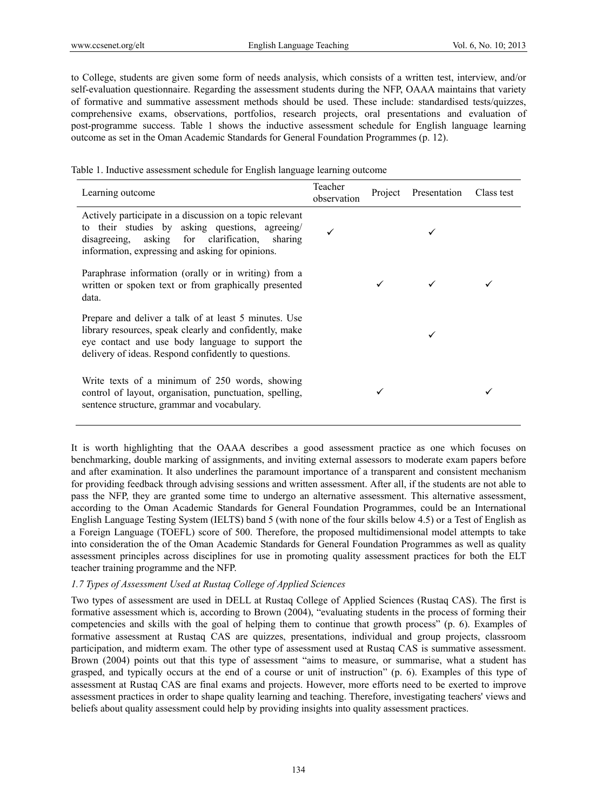to College, students are given some form of needs analysis, which consists of a written test, interview, and/or self-evaluation questionnaire. Regarding the assessment students during the NFP, OAAA maintains that variety of formative and summative assessment methods should be used. These include: standardised tests/quizzes, comprehensive exams, observations, portfolios, research projects, oral presentations and evaluation of post-programme success. Table 1 shows the inductive assessment schedule for English language learning outcome as set in the Oman Academic Standards for General Foundation Programmes (p. 12).

|  | Table 1. Inductive assessment schedule for English language learning outcome |  |  |  |
|--|------------------------------------------------------------------------------|--|--|--|
|  |                                                                              |  |  |  |

| Learning outcome                                                                                                                                                                                                            | Teacher<br>observation | Project Presentation | Class test |
|-----------------------------------------------------------------------------------------------------------------------------------------------------------------------------------------------------------------------------|------------------------|----------------------|------------|
| Actively participate in a discussion on a topic relevant<br>to their studies by asking questions, agreeing/<br>disagreeing, asking for clarification, sharing<br>information, expressing and asking for opinions.           |                        |                      |            |
| Paraphrase information (orally or in writing) from a<br>written or spoken text or from graphically presented<br>data.                                                                                                       |                        |                      |            |
| Prepare and deliver a talk of at least 5 minutes. Use<br>library resources, speak clearly and confidently, make<br>eye contact and use body language to support the<br>delivery of ideas. Respond confidently to questions. |                        |                      |            |
| Write texts of a minimum of 250 words, showing<br>control of layout, organisation, punctuation, spelling,<br>sentence structure, grammar and vocabulary.                                                                    |                        |                      |            |

It is worth highlighting that the OAAA describes a good assessment practice as one which focuses on benchmarking, double marking of assignments, and inviting external assessors to moderate exam papers before and after examination. It also underlines the paramount importance of a transparent and consistent mechanism for providing feedback through advising sessions and written assessment. After all, if the students are not able to pass the NFP, they are granted some time to undergo an alternative assessment. This alternative assessment, according to the Oman Academic Standards for General Foundation Programmes, could be an International English Language Testing System (IELTS) band 5 (with none of the four skills below 4.5) or a Test of English as a Foreign Language (TOEFL) score of 500. Therefore, the proposed multidimensional model attempts to take into consideration the of the Oman Academic Standards for General Foundation Programmes as well as quality assessment principles across disciplines for use in promoting quality assessment practices for both the ELT teacher training programme and the NFP.

# *1.7 Types of Assessment Used at Rustaq College of Applied Sciences*

Two types of assessment are used in DELL at Rustaq College of Applied Sciences (Rustaq CAS). The first is formative assessment which is, according to Brown (2004), "evaluating students in the process of forming their competencies and skills with the goal of helping them to continue that growth process" (p. 6). Examples of formative assessment at Rustaq CAS are quizzes, presentations, individual and group projects, classroom participation, and midterm exam. The other type of assessment used at Rustaq CAS is summative assessment. Brown (2004) points out that this type of assessment "aims to measure, or summarise, what a student has grasped, and typically occurs at the end of a course or unit of instruction" (p. 6). Examples of this type of assessment at Rustaq CAS are final exams and projects. However, more efforts need to be exerted to improve assessment practices in order to shape quality learning and teaching. Therefore, investigating teachers' views and beliefs about quality assessment could help by providing insights into quality assessment practices.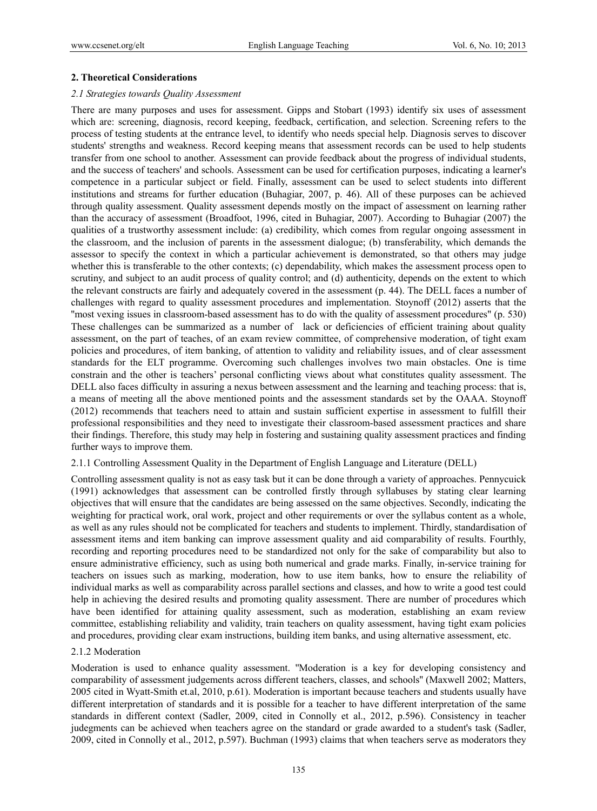## **2. Theoretical Considerations**

#### *2.1 Strategies towards Quality Assessment*

There are many purposes and uses for assessment. Gipps and Stobart (1993) identify six uses of assessment which are: screening, diagnosis, record keeping, feedback, certification, and selection. Screening refers to the process of testing students at the entrance level, to identify who needs special help. Diagnosis serves to discover students' strengths and weakness. Record keeping means that assessment records can be used to help students transfer from one school to another. Assessment can provide feedback about the progress of individual students, and the success of teachers' and schools. Assessment can be used for certification purposes, indicating a learner's competence in a particular subject or field. Finally, assessment can be used to select students into different institutions and streams for further education (Buhagiar, 2007, p. 46). All of these purposes can be achieved through quality assessment. Quality assessment depends mostly on the impact of assessment on learning rather than the accuracy of assessment (Broadfoot, 1996, cited in Buhagiar, 2007). According to Buhagiar (2007) the qualities of a trustworthy assessment include: (a) credibility, which comes from regular ongoing assessment in the classroom, and the inclusion of parents in the assessment dialogue; (b) transferability, which demands the assessor to specify the context in which a particular achievement is demonstrated, so that others may judge whether this is transferable to the other contexts; (c) dependability, which makes the assessment process open to scrutiny, and subject to an audit process of quality control; and (d) authenticity, depends on the extent to which the relevant constructs are fairly and adequately covered in the assessment (p. 44). The DELL faces a number of challenges with regard to quality assessment procedures and implementation. Stoynoff (2012) asserts that the ''most vexing issues in classroom-based assessment has to do with the quality of assessment procedures" (p. 530) These challenges can be summarized as a number of lack or deficiencies of efficient training about quality assessment, on the part of teaches, of an exam review committee, of comprehensive moderation, of tight exam policies and procedures, of item banking, of attention to validity and reliability issues, and of clear assessment standards for the ELT programme. Overcoming such challenges involves two main obstacles. One is time constrain and the other is teachers' personal conflicting views about what constitutes quality assessment. The DELL also faces difficulty in assuring a nexus between assessment and the learning and teaching process: that is, a means of meeting all the above mentioned points and the assessment standards set by the OAAA. Stoynoff (2012) recommends that teachers need to attain and sustain sufficient expertise in assessment to fulfill their professional responsibilities and they need to investigate their classroom-based assessment practices and share their findings. Therefore, this study may help in fostering and sustaining quality assessment practices and finding further ways to improve them.

# 2.1.1 Controlling Assessment Quality in the Department of English Language and Literature (DELL)

Controlling assessment quality is not as easy task but it can be done through a variety of approaches. Pennycuick (1991) acknowledges that assessment can be controlled firstly through syllabuses by stating clear learning objectives that will ensure that the candidates are being assessed on the same objectives. Secondly, indicating the weighting for practical work, oral work, project and other requirements or over the syllabus content as a whole, as well as any rules should not be complicated for teachers and students to implement. Thirdly, standardisation of assessment items and item banking can improve assessment quality and aid comparability of results. Fourthly, recording and reporting procedures need to be standardized not only for the sake of comparability but also to ensure administrative efficiency, such as using both numerical and grade marks. Finally, in-service training for teachers on issues such as marking, moderation, how to use item banks, how to ensure the reliability of individual marks as well as comparability across parallel sections and classes, and how to write a good test could help in achieving the desired results and promoting quality assessment. There are number of procedures which have been identified for attaining quality assessment, such as moderation, establishing an exam review committee, establishing reliability and validity, train teachers on quality assessment, having tight exam policies and procedures, providing clear exam instructions, building item banks, and using alternative assessment, etc.

### 2.1.2 Moderation

Moderation is used to enhance quality assessment. ''Moderation is a key for developing consistency and comparability of assessment judgements across different teachers, classes, and schools'' (Maxwell 2002; Matters, 2005 cited in Wyatt-Smith et.al, 2010, p.61). Moderation is important because teachers and students usually have different interpretation of standards and it is possible for a teacher to have different interpretation of the same standards in different context (Sadler, 2009, cited in Connolly et al., 2012, p.596). Consistency in teacher judegments can be achieved when teachers agree on the standard or grade awarded to a student's task (Sadler, 2009, cited in Connolly et al., 2012, p.597). Buchman (1993) claims that when teachers serve as moderators they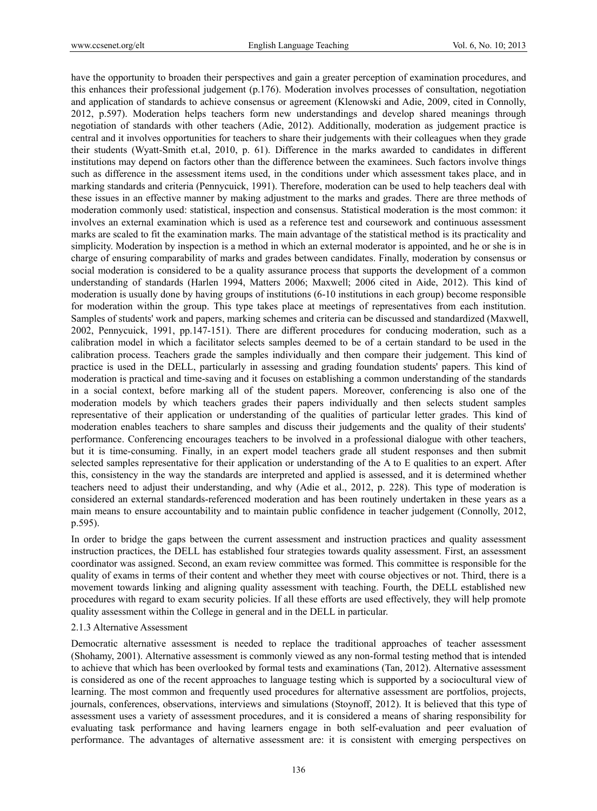have the opportunity to broaden their perspectives and gain a greater perception of examination procedures, and this enhances their professional judgement (p.176). Moderation involves processes of consultation, negotiation and application of standards to achieve consensus or agreement (Klenowski and Adie, 2009, cited in Connolly, 2012, p.597). Moderation helps teachers form new understandings and develop shared meanings through negotiation of standards with other teachers (Adie, 2012). Additionally, moderation as judgement practice is central and it involves opportunities for teachers to share their judgements with their colleagues when they grade their students (Wyatt-Smith et.al, 2010, p. 61). Difference in the marks awarded to candidates in different institutions may depend on factors other than the difference between the examinees. Such factors involve things such as difference in the assessment items used, in the conditions under which assessment takes place, and in marking standards and criteria (Pennycuick, 1991). Therefore, moderation can be used to help teachers deal with these issues in an effective manner by making adjustment to the marks and grades. There are three methods of moderation commonly used: statistical, inspection and consensus. Statistical moderation is the most common: it involves an external examination which is used as a reference test and coursework and continuous assessment marks are scaled to fit the examination marks. The main advantage of the statistical method is its practicality and simplicity. Moderation by inspection is a method in which an external moderator is appointed, and he or she is in charge of ensuring comparability of marks and grades between candidates. Finally, moderation by consensus or social moderation is considered to be a quality assurance process that supports the development of a common understanding of standards (Harlen 1994, Matters 2006; Maxwell; 2006 cited in Aide, 2012). This kind of moderation is usually done by having groups of institutions (6-10 institutions in each group) become responsible for moderation within the group. This type takes place at meetings of representatives from each institution. Samples of students' work and papers, marking schemes and criteria can be discussed and standardized (Maxwell, 2002, Pennycuick, 1991, pp.147-151). There are different procedures for conducing moderation, such as a calibration model in which a facilitator selects samples deemed to be of a certain standard to be used in the calibration process. Teachers grade the samples individually and then compare their judgement. This kind of practice is used in the DELL, particularly in assessing and grading foundation students' papers. This kind of moderation is practical and time-saving and it focuses on establishing a common understanding of the standards in a social context, before marking all of the student papers. Moreover, conferencing is also one of the moderation models by which teachers grades their papers individually and then selects student samples representative of their application or understanding of the qualities of particular letter grades. This kind of moderation enables teachers to share samples and discuss their judgements and the quality of their students' performance. Conferencing encourages teachers to be involved in a professional dialogue with other teachers, but it is time-consuming. Finally, in an expert model teachers grade all student responses and then submit selected samples representative for their application or understanding of the A to E qualities to an expert. After this, consistency in the way the standards are interpreted and applied is assessed, and it is determined whether teachers need to adjust their understanding, and why (Adie et al., 2012, p. 228). This type of moderation is considered an external standards-referenced moderation and has been routinely undertaken in these years as a main means to ensure accountability and to maintain public confidence in teacher judgement (Connolly, 2012, p.595).

In order to bridge the gaps between the current assessment and instruction practices and quality assessment instruction practices, the DELL has established four strategies towards quality assessment. First, an assessment coordinator was assigned. Second, an exam review committee was formed. This committee is responsible for the quality of exams in terms of their content and whether they meet with course objectives or not. Third, there is a movement towards linking and aligning quality assessment with teaching. Fourth, the DELL established new procedures with regard to exam security policies. If all these efforts are used effectively, they will help promote quality assessment within the College in general and in the DELL in particular.

# 2.1.3 Alternative Assessment

Democratic alternative assessment is needed to replace the traditional approaches of teacher assessment (Shohamy, 2001). Alternative assessment is commonly viewed as any non-formal testing method that is intended to achieve that which has been overlooked by formal tests and examinations (Tan, 2012). Alternative assessment is considered as one of the recent approaches to language testing which is supported by a sociocultural view of learning. The most common and frequently used procedures for alternative assessment are portfolios, projects, journals, conferences, observations, interviews and simulations (Stoynoff, 2012). It is believed that this type of assessment uses a variety of assessment procedures, and it is considered a means of sharing responsibility for evaluating task performance and having learners engage in both self-evaluation and peer evaluation of performance. The advantages of alternative assessment are: it is consistent with emerging perspectives on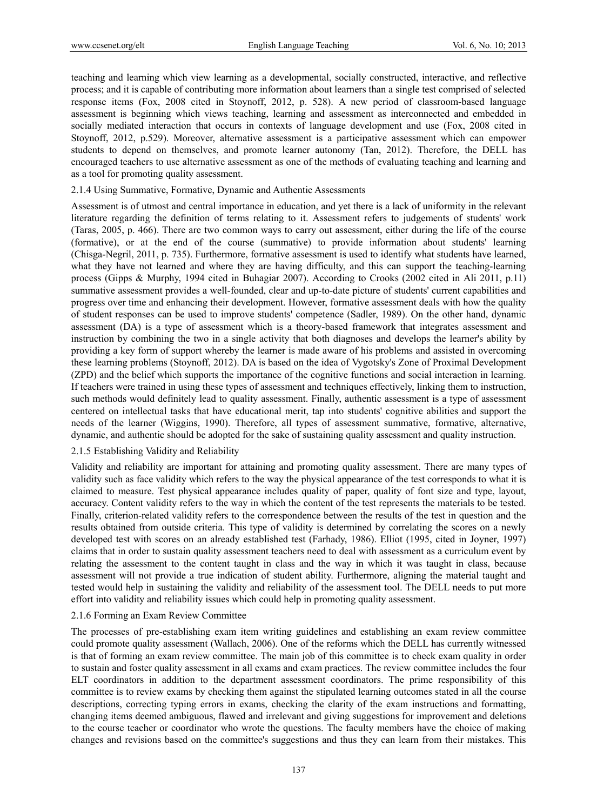teaching and learning which view learning as a developmental, socially constructed, interactive, and reflective process; and it is capable of contributing more information about learners than a single test comprised of selected response items (Fox, 2008 cited in Stoynoff, 2012, p. 528). A new period of classroom-based language assessment is beginning which views teaching, learning and assessment as interconnected and embedded in socially mediated interaction that occurs in contexts of language development and use (Fox, 2008 cited in Stoynoff, 2012, p.529). Moreover, alternative assessment is a participative assessment which can empower students to depend on themselves, and promote learner autonomy (Tan, 2012). Therefore, the DELL has encouraged teachers to use alternative assessment as one of the methods of evaluating teaching and learning and as a tool for promoting quality assessment.

#### 2.1.4 Using Summative, Formative, Dynamic and Authentic Assessments

Assessment is of utmost and central importance in education, and yet there is a lack of uniformity in the relevant literature regarding the definition of terms relating to it. Assessment refers to judgements of students' work (Taras, 2005, p. 466). There are two common ways to carry out assessment, either during the life of the course (formative), or at the end of the course (summative) to provide information about students' learning (Chisga-Negril, 2011, p. 735). Furthermore, formative assessment is used to identify what students have learned, what they have not learned and where they are having difficulty, and this can support the teaching-learning process (Gipps & Murphy, 1994 cited in Buhagiar 2007). According to Crooks (2002 cited in Ali 2011, p.11) summative assessment provides a well-founded, clear and up-to-date picture of students' current capabilities and progress over time and enhancing their development. However, formative assessment deals with how the quality of student responses can be used to improve students' competence (Sadler, 1989). On the other hand, dynamic assessment (DA) is a type of assessment which is a theory-based framework that integrates assessment and instruction by combining the two in a single activity that both diagnoses and develops the learner's ability by providing a key form of support whereby the learner is made aware of his problems and assisted in overcoming these learning problems (Stoynoff, 2012). DA is based on the idea of Vygotsky's Zone of Proximal Development (ZPD) and the belief which supports the importance of the cognitive functions and social interaction in learning. If teachers were trained in using these types of assessment and techniques effectively, linking them to instruction, such methods would definitely lead to quality assessment. Finally, authentic assessment is a type of assessment centered on intellectual tasks that have educational merit, tap into students' cognitive abilities and support the needs of the learner (Wiggins, 1990). Therefore, all types of assessment summative, formative, alternative, dynamic, and authentic should be adopted for the sake of sustaining quality assessment and quality instruction.

#### 2.1.5 Establishing Validity and Reliability

Validity and reliability are important for attaining and promoting quality assessment. There are many types of validity such as face validity which refers to the way the physical appearance of the test corresponds to what it is claimed to measure. Test physical appearance includes quality of paper, quality of font size and type, layout, accuracy. Content validity refers to the way in which the content of the test represents the materials to be tested. Finally, criterion-related validity refers to the correspondence between the results of the test in question and the results obtained from outside criteria. This type of validity is determined by correlating the scores on a newly developed test with scores on an already established test (Farhady, 1986). Elliot (1995, cited in Joyner, 1997) claims that in order to sustain quality assessment teachers need to deal with assessment as a curriculum event by relating the assessment to the content taught in class and the way in which it was taught in class, because assessment will not provide a true indication of student ability. Furthermore, aligning the material taught and tested would help in sustaining the validity and reliability of the assessment tool. The DELL needs to put more effort into validity and reliability issues which could help in promoting quality assessment.

#### 2.1.6 Forming an Exam Review Committee

The processes of pre-establishing exam item writing guidelines and establishing an exam review committee could promote quality assessment (Wallach, 2006). One of the reforms which the DELL has currently witnessed is that of forming an exam review committee. The main job of this committee is to check exam quality in order to sustain and foster quality assessment in all exams and exam practices. The review committee includes the four ELT coordinators in addition to the department assessment coordinators. The prime responsibility of this committee is to review exams by checking them against the stipulated learning outcomes stated in all the course descriptions, correcting typing errors in exams, checking the clarity of the exam instructions and formatting, changing items deemed ambiguous, flawed and irrelevant and giving suggestions for improvement and deletions to the course teacher or coordinator who wrote the questions. The faculty members have the choice of making changes and revisions based on the committee's suggestions and thus they can learn from their mistakes. This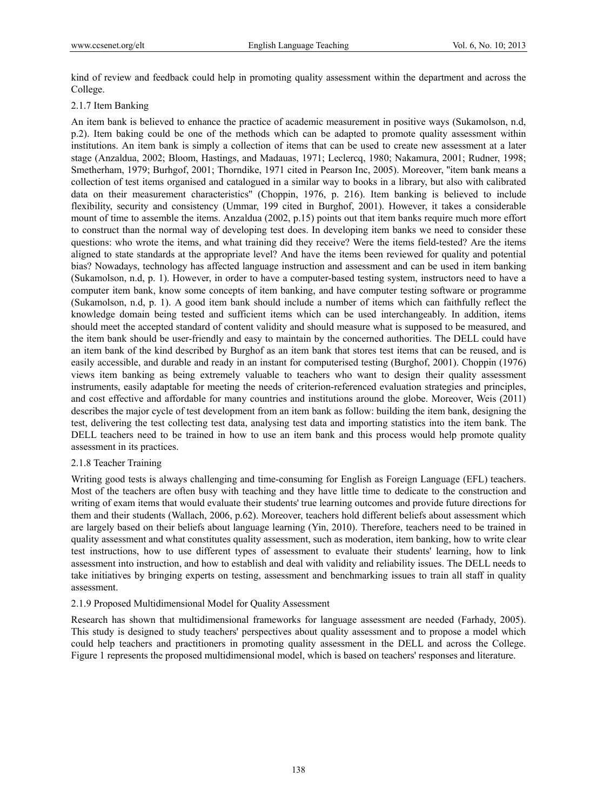kind of review and feedback could help in promoting quality assessment within the department and across the College.

# 2.1.7 Item Banking

An item bank is believed to enhance the practice of academic measurement in positive ways (Sukamolson, n.d, p.2). Item baking could be one of the methods which can be adapted to promote quality assessment within institutions. An item bank is simply a collection of items that can be used to create new assessment at a later stage (Anzaldua, 2002; Bloom, Hastings, and Madauas, 1971; Leclercq, 1980; Nakamura, 2001; Rudner, 1998; Smetherham, 1979; Burhgof, 2001; Thorndike, 1971 cited in Pearson Inc, 2005). Moreover, ''item bank means a collection of test items organised and catalogued in a similar way to books in a library, but also with calibrated data on their measurement characteristics'' (Choppin, 1976, p. 216). Item banking is believed to include flexibility, security and consistency (Ummar, 199 cited in Burghof, 2001). However, it takes a considerable mount of time to assemble the items. Anzaldua (2002, p.15) points out that item banks require much more effort to construct than the normal way of developing test does. In developing item banks we need to consider these questions: who wrote the items, and what training did they receive? Were the items field-tested? Are the items aligned to state standards at the appropriate level? And have the items been reviewed for quality and potential bias? Nowadays, technology has affected language instruction and assessment and can be used in item banking (Sukamolson, n.d, p. 1). However, in order to have a computer-based testing system, instructors need to have a computer item bank, know some concepts of item banking, and have computer testing software or programme (Sukamolson, n.d, p. 1). A good item bank should include a number of items which can faithfully reflect the knowledge domain being tested and sufficient items which can be used interchangeably. In addition, items should meet the accepted standard of content validity and should measure what is supposed to be measured, and the item bank should be user-friendly and easy to maintain by the concerned authorities. The DELL could have an item bank of the kind described by Burghof as an item bank that stores test items that can be reused, and is easily accessible, and durable and ready in an instant for computerised testing (Burghof, 2001). Choppin (1976) views item banking as being extremely valuable to teachers who want to design their quality assessment instruments, easily adaptable for meeting the needs of criterion-referenced evaluation strategies and principles, and cost effective and affordable for many countries and institutions around the globe. Moreover, Weis (2011) describes the major cycle of test development from an item bank as follow: building the item bank, designing the test, delivering the test collecting test data, analysing test data and importing statistics into the item bank. The DELL teachers need to be trained in how to use an item bank and this process would help promote quality assessment in its practices.

#### 2.1.8 Teacher Training

Writing good tests is always challenging and time-consuming for English as Foreign Language (EFL) teachers. Most of the teachers are often busy with teaching and they have little time to dedicate to the construction and writing of exam items that would evaluate their students' true learning outcomes and provide future directions for them and their students (Wallach, 2006, p.62). Moreover, teachers hold different beliefs about assessment which are largely based on their beliefs about language learning (Yin, 2010). Therefore, teachers need to be trained in quality assessment and what constitutes quality assessment, such as moderation, item banking, how to write clear test instructions, how to use different types of assessment to evaluate their students' learning, how to link assessment into instruction, and how to establish and deal with validity and reliability issues. The DELL needs to take initiatives by bringing experts on testing, assessment and benchmarking issues to train all staff in quality assessment.

#### 2.1.9 Proposed Multidimensional Model for Quality Assessment

Research has shown that multidimensional frameworks for language assessment are needed (Farhady, 2005). This study is designed to study teachers' perspectives about quality assessment and to propose a model which could help teachers and practitioners in promoting quality assessment in the DELL and across the College. Figure 1 represents the proposed multidimensional model, which is based on teachers' responses and literature.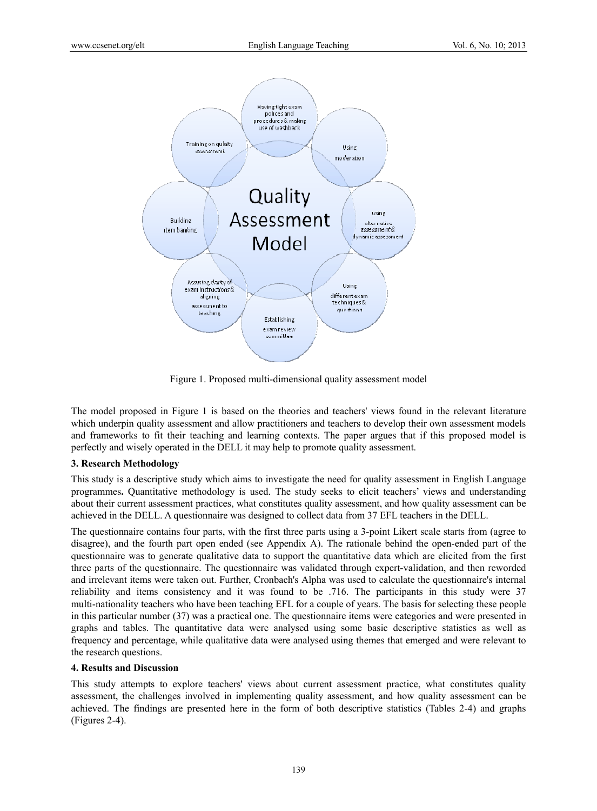

Figure 1. Proposed multi-dimensional quality assessment model

The model proposed in Figure 1 is based on the theories and teachers' views found in the relevant literature which underpin quality assessment and allow practitioners and teachers to develop their own assessment models and frameworks to fit their teaching and learning contexts. The paper argues that if this proposed model is perfectly and wisely operated in the DELL it may help to promote quality assessment.

# **3. Research Methodology**

This study is a descriptive study which aims to investigate the need for quality assessment in English Language programmes**.** Quantitative methodology is used. The study seeks to elicit teachers' views and understanding about their current assessment practices, what constitutes quality assessment, and how quality assessment can be achieved in the DELL. A questionnaire was designed to collect data from 37 EFL teachers in the DELL.

The questionnaire contains four parts, with the first three parts using a 3-point Likert scale starts from (agree to disagree), and the fourth part open ended (see Appendix A). The rationale behind the open-ended part of the questionnaire was to generate qualitative data to support the quantitative data which are elicited from the first three parts of the questionnaire. The questionnaire was validated through expert-validation, and then reworded and irrelevant items were taken out. Further, Cronbach's Alpha was used to calculate the questionnaire's internal reliability and items consistency and it was found to be .716. The participants in this study were 37 multi-nationality teachers who have been teaching EFL for a couple of years. The basis for selecting these people in this particular number (37) was a practical one. The questionnaire items were categories and were presented in graphs and tables. The quantitative data were analysed using some basic descriptive statistics as well as frequency and percentage, while qualitative data were analysed using themes that emerged and were relevant to the research questions.

#### **4. Results and Discussion**

This study attempts to explore teachers' views about current assessment practice, what constitutes quality assessment, the challenges involved in implementing quality assessment, and how quality assessment can be achieved. The findings are presented here in the form of both descriptive statistics (Tables 2-4) and graphs (Figures 2-4).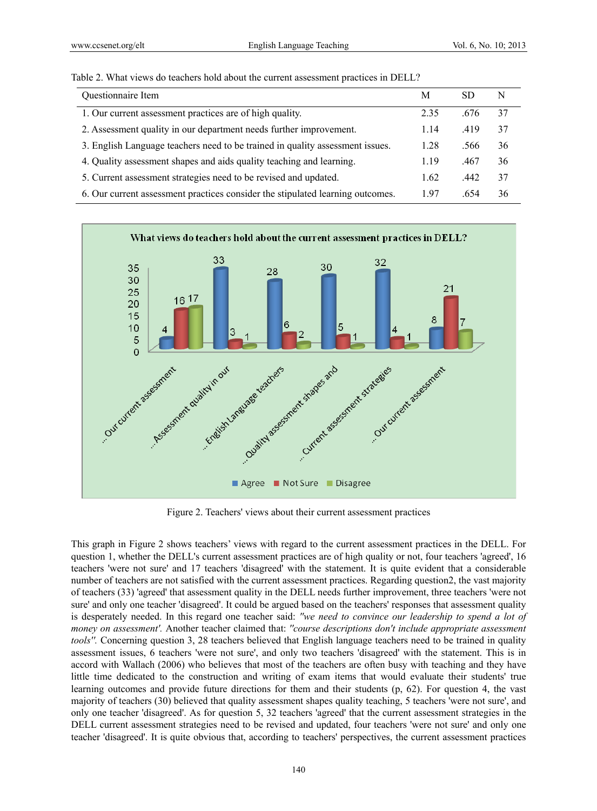| Questionnaire Item                                                             | М    | SD   | N  |
|--------------------------------------------------------------------------------|------|------|----|
| 1. Our current assessment practices are of high quality.                       | 2.35 | .676 | 37 |
| 2. Assessment quality in our department needs further improvement.             | 1.14 | .419 | 37 |
| 3. English Language teachers need to be trained in quality assessment issues.  | 1.28 | .566 | 36 |
| 4. Quality assessment shapes and aids quality teaching and learning.           | 1.19 | .467 | 36 |
| 5. Current assessment strategies need to be revised and updated.               | 1.62 | .442 | 37 |
| 6. Our current assessment practices consider the stipulated learning outcomes. | 197  | .654 | 36 |





Figure 2. Teachers' views about their current assessment practices

This graph in Figure 2 shows teachers' views with regard to the current assessment practices in the DELL. For question 1, whether the DELL's current assessment practices are of high quality or not, four teachers 'agreed', 16 teachers 'were not sure' and 17 teachers 'disagreed' with the statement. It is quite evident that a considerable number of teachers are not satisfied with the current assessment practices. Regarding question2, the vast majority of teachers (33) 'agreed' that assessment quality in the DELL needs further improvement, three teachers 'were not sure' and only one teacher 'disagreed'. It could be argued based on the teachers' responses that assessment quality is desperately needed. In this regard one teacher said: *''we need to convince our leadership to spend a lot of money on assessment'.* Another teacher claimed that: *''course descriptions don't include appropriate assessment tools''*. Concerning question 3, 28 teachers believed that English language teachers need to be trained in quality assessment issues, 6 teachers 'were not sure', and only two teachers 'disagreed' with the statement. This is in accord with Wallach (2006) who believes that most of the teachers are often busy with teaching and they have little time dedicated to the construction and writing of exam items that would evaluate their students' true learning outcomes and provide future directions for them and their students (p, 62). For question 4, the vast majority of teachers (30) believed that quality assessment shapes quality teaching, 5 teachers 'were not sure', and only one teacher 'disagreed'. As for question 5, 32 teachers 'agreed' that the current assessment strategies in the DELL current assessment strategies need to be revised and updated, four teachers 'were not sure' and only one teacher 'disagreed'. It is quite obvious that, according to teachers' perspectives, the current assessment practices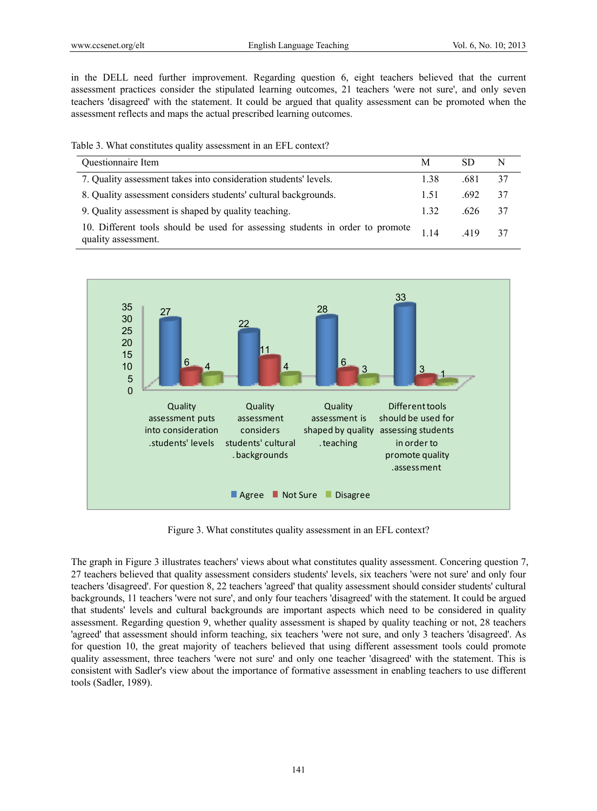in the DELL need further improvement. Regarding question 6, eight teachers believed that the current assessment practices consider the stipulated learning outcomes, 21 teachers 'were not sure', and only seven teachers 'disagreed' with the statement. It could be argued that quality assessment can be promoted when the assessment reflects and maps the actual prescribed learning outcomes.

Table 3. What constitutes quality assessment in an EFL context?

| Questionnaire Item                                                                                   | М    | SD   | N  |
|------------------------------------------------------------------------------------------------------|------|------|----|
| 7. Quality assessment takes into consideration students' levels.                                     | 1.38 | .681 | 37 |
| 8. Quality assessment considers students' cultural backgrounds.                                      | 1.51 | 692  | 37 |
| 9. Quality assessment is shaped by quality teaching.                                                 | 1 32 | .626 | 37 |
| 10. Different tools should be used for assessing students in order to promote<br>quality assessment. | 114  | 419  | 37 |



Figure 3. What constitutes quality assessment in an EFL context?

The graph in Figure 3 illustrates teachers' views about what constitutes quality assessment. Concering question 7, 27 teachers believed that quality assessment considers students' levels, six teachers 'were not sure' and only four teachers 'disagreed'. For question 8, 22 teachers 'agreed' that quality assessment should consider students' cultural backgrounds, 11 teachers 'were not sure', and only four teachers 'disagreed' with the statement. It could be argued that students' levels and cultural backgrounds are important aspects which need to be considered in quality assessment. Regarding question 9, whether quality assessment is shaped by quality teaching or not, 28 teachers 'agreed' that assessment should inform teaching, six teachers 'were not sure, and only 3 teachers 'disagreed'. As for question 10, the great majority of teachers believed that using different assessment tools could promote quality assessment, three teachers 'were not sure' and only one teacher 'disagreed' with the statement. This is consistent with Sadler's view about the importance of formative assessment in enabling teachers to use different tools (Sadler, 1989).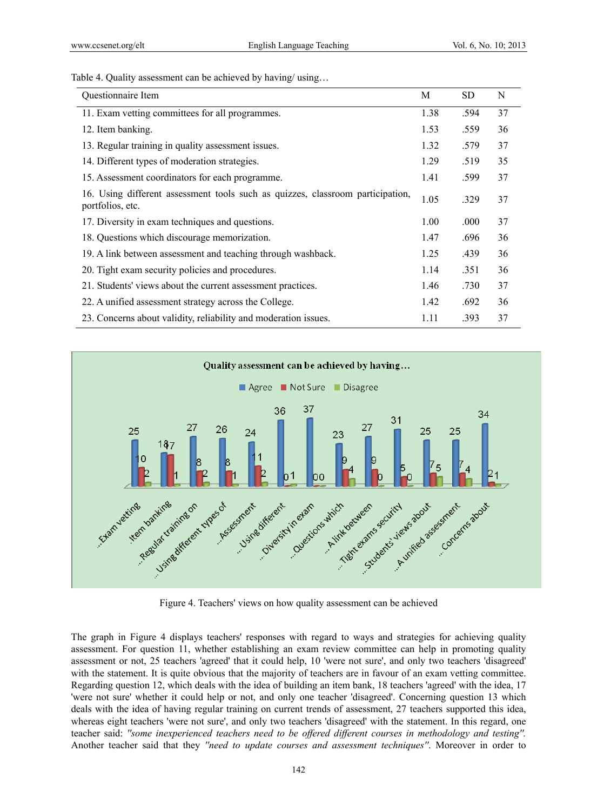Table 4. Quality assessment can be achieved by having/using...

| Questionnaire Item                                                                                 | M    | <b>SD</b> | N  |
|----------------------------------------------------------------------------------------------------|------|-----------|----|
| 11. Exam vetting committees for all programmes.                                                    | 1.38 | .594      | 37 |
| 12. Item banking.                                                                                  | 1.53 | .559      | 36 |
| 13. Regular training in quality assessment issues.                                                 | 1.32 | .579      | 37 |
| 14. Different types of moderation strategies.                                                      | 1.29 | .519      | 35 |
| 15. Assessment coordinators for each programme.                                                    | 1.41 | .599      | 37 |
| 16. Using different assessment tools such as quizzes, classroom participation,<br>portfolios, etc. | 1.05 | .329      | 37 |
| 17. Diversity in exam techniques and questions.                                                    | 1.00 | .000      | 37 |
| 18. Questions which discourage memorization.                                                       | 1.47 | .696      | 36 |
| 19. A link between assessment and teaching through washback.                                       | 1.25 | .439      | 36 |
| 20. Tight exam security policies and procedures.                                                   | 1.14 | .351      | 36 |
| 21. Students' views about the current assessment practices.                                        | 1.46 | .730      | 37 |
| 22. A unified assessment strategy across the College.                                              | 1.42 | .692      | 36 |
| 23. Concerns about validity, reliability and moderation issues.                                    | 1.11 | .393      | 37 |



Figure 4. Teachers' views on how quality assessment can be achieved

The graph in Figure 4 displays teachers' responses with regard to ways and strategies for achieving quality assessment. For question 11, whether establishing an exam review committee can help in promoting quality assessment or not, 25 teachers 'agreed' that it could help, 10 'were not sure', and only two teachers 'disagreed' with the statement. It is quite obvious that the majority of teachers are in favour of an exam vetting committee. Regarding question 12, which deals with the idea of building an item bank, 18 teachers 'agreed' with the idea, 17 'were not sure' whether it could help or not, and only one teacher 'disagreed'. Concerning question 13 which deals with the idea of having regular training on current trends of assessment, 27 teachers supported this idea, whereas eight teachers 'were not sure', and only two teachers 'disagreed' with the statement. In this regard, one teacher said: *''some inexperienced teachers need to be offered different courses in methodology and testing''.*  Another teacher said that they *''need to update courses and assessment techniques''*. Moreover in order to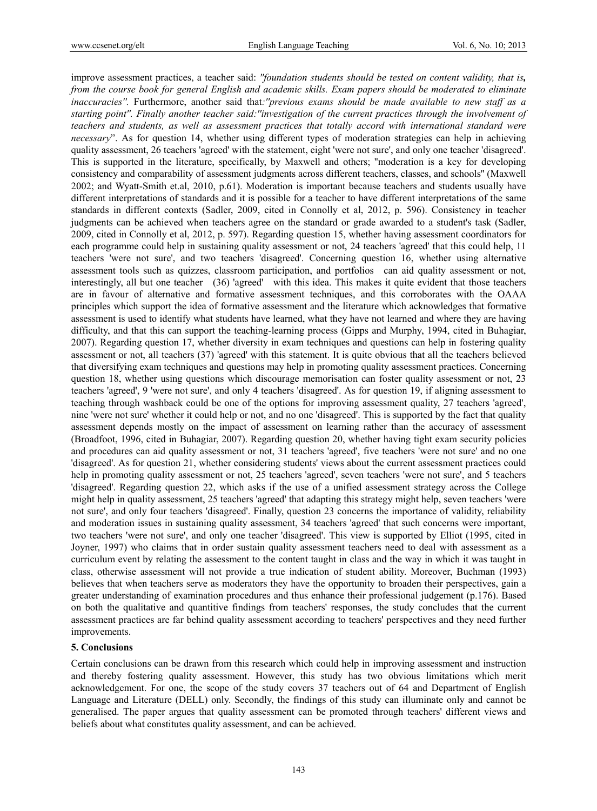improve assessment practices, a teacher said: *''foundation students should be tested on content validity, that is, from the course book for general English and academic skills. Exam papers should be moderated to eliminate inaccuracies''.* Furthermore, another said that*:''previous exams should be made available to new staff as a starting point''. Finally another teacher said:''investigation of the current practices through the involvement of teachers and students, as well as assessment practices that totally accord with international standard were necessary*". As for question 14, whether using different types of moderation strategies can help in achieving quality assessment, 26 teachers 'agreed' with the statement, eight 'were not sure', and only one teacher 'disagreed'. This is supported in the literature, specifically, by Maxwell and others; ''moderation is a key for developing consistency and comparability of assessment judgments across different teachers, classes, and schools'' (Maxwell 2002; and Wyatt-Smith et.al, 2010, p.61). Moderation is important because teachers and students usually have different interpretations of standards and it is possible for a teacher to have different interpretations of the same standards in different contexts (Sadler, 2009, cited in Connolly et al, 2012, p. 596). Consistency in teacher judgments can be achieved when teachers agree on the standard or grade awarded to a student's task (Sadler, 2009, cited in Connolly et al, 2012, p. 597). Regarding question 15, whether having assessment coordinators for each programme could help in sustaining quality assessment or not, 24 teachers 'agreed' that this could help, 11 teachers 'were not sure', and two teachers 'disagreed'. Concerning question 16, whether using alternative assessment tools such as quizzes, classroom participation, and portfolios can aid quality assessment or not, interestingly, all but one teacher (36) 'agreed' with this idea. This makes it quite evident that those teachers are in favour of alternative and formative assessment techniques, and this corroborates with the OAAA principles which support the idea of formative assessment and the literature which acknowledges that formative assessment is used to identify what students have learned, what they have not learned and where they are having difficulty, and that this can support the teaching-learning process (Gipps and Murphy, 1994, cited in Buhagiar, 2007). Regarding question 17, whether diversity in exam techniques and questions can help in fostering quality assessment or not, all teachers (37) 'agreed' with this statement. It is quite obvious that all the teachers believed that diversifying exam techniques and questions may help in promoting quality assessment practices. Concerning question 18, whether using questions which discourage memorisation can foster quality assessment or not, 23 teachers 'agreed', 9 'were not sure', and only 4 teachers 'disagreed'. As for question 19, if aligning assessment to teaching through washback could be one of the options for improving assessment quality, 27 teachers 'agreed', nine 'were not sure' whether it could help or not, and no one 'disagreed'. This is supported by the fact that quality assessment depends mostly on the impact of assessment on learning rather than the accuracy of assessment (Broadfoot, 1996, cited in Buhagiar, 2007). Regarding question 20, whether having tight exam security policies and procedures can aid quality assessment or not, 31 teachers 'agreed', five teachers 'were not sure' and no one 'disagreed'. As for question 21, whether considering students' views about the current assessment practices could help in promoting quality assessment or not, 25 teachers 'agreed', seven teachers 'were not sure', and 5 teachers 'disagreed'. Regarding question 22, which asks if the use of a unified assessment strategy across the College might help in quality assessment, 25 teachers 'agreed' that adapting this strategy might help, seven teachers 'were not sure', and only four teachers 'disagreed'. Finally, question 23 concerns the importance of validity, reliability and moderation issues in sustaining quality assessment, 34 teachers 'agreed' that such concerns were important, two teachers 'were not sure', and only one teacher 'disagreed'. This view is supported by Elliot (1995, cited in Joyner, 1997) who claims that in order sustain quality assessment teachers need to deal with assessment as a curriculum event by relating the assessment to the content taught in class and the way in which it was taught in class, otherwise assessment will not provide a true indication of student ability. Moreover, Buchman (1993) believes that when teachers serve as moderators they have the opportunity to broaden their perspectives, gain a greater understanding of examination procedures and thus enhance their professional judgement (p.176). Based on both the qualitative and quantitive findings from teachers' responses, the study concludes that the current assessment practices are far behind quality assessment according to teachers' perspectives and they need further improvements.

#### **5. Conclusions**

Certain conclusions can be drawn from this research which could help in improving assessment and instruction and thereby fostering quality assessment. However, this study has two obvious limitations which merit acknowledgement. For one, the scope of the study covers 37 teachers out of 64 and Department of English Language and Literature (DELL) only. Secondly, the findings of this study can illuminate only and cannot be generalised. The paper argues that quality assessment can be promoted through teachers' different views and beliefs about what constitutes quality assessment, and can be achieved.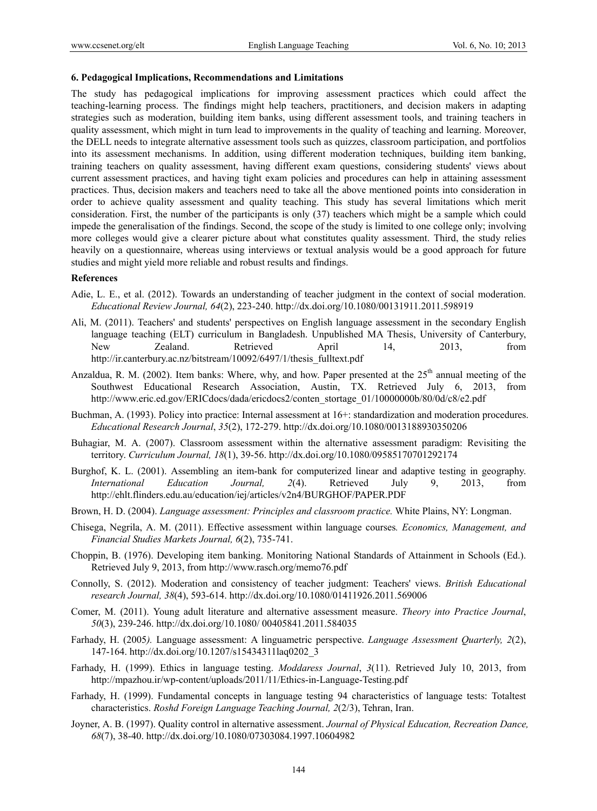#### **6. Pedagogical Implications, Recommendations and Limitations**

The study has pedagogical implications for improving assessment practices which could affect the teaching-learning process. The findings might help teachers, practitioners, and decision makers in adapting strategies such as moderation, building item banks, using different assessment tools, and training teachers in quality assessment, which might in turn lead to improvements in the quality of teaching and learning. Moreover, the DELL needs to integrate alternative assessment tools such as quizzes, classroom participation, and portfolios into its assessment mechanisms. In addition, using different moderation techniques, building item banking, training teachers on quality assessment, having different exam questions, considering students' views about current assessment practices, and having tight exam policies and procedures can help in attaining assessment practices. Thus, decision makers and teachers need to take all the above mentioned points into consideration in order to achieve quality assessment and quality teaching. This study has several limitations which merit consideration. First, the number of the participants is only (37) teachers which might be a sample which could impede the generalisation of the findings. Second, the scope of the study is limited to one college only; involving more colleges would give a clearer picture about what constitutes quality assessment. Third, the study relies heavily on a questionnaire, whereas using interviews or textual analysis would be a good approach for future studies and might yield more reliable and robust results and findings.

## **References**

- Adie, L. E., et al. (2012). Towards an understanding of teacher judgment in the context of social moderation. *Educational Review Journal, 64*(2), 223-240. http://dx.doi.org/10.1080/00131911.2011.598919
- Ali, M. (2011). Teachers' and students' perspectives on English language assessment in the secondary English language teaching (ELT) curriculum in Bangladesh. Unpublished MA Thesis, University of Canterbury, New Zealand. Retrieved April 14, 2013, from http://ir.canterbury.ac.nz/bitstream/10092/6497/1/thesis\_fulltext.pdf
- Anzaldua, R. M. (2002). Item banks: Where, why, and how. Paper presented at the  $25<sup>th</sup>$  annual meeting of the Southwest Educational Research Association, Austin, TX. Retrieved July 6, 2013, from http://www.eric.ed.gov/ERICdocs/dada/ericdocs2/conten\_stortage\_01/10000000b/80/0d/c8/e2.pdf
- Buchman, A. (1993). Policy into practice: Internal assessment at 16+: standardization and moderation procedures. *Educational Research Journal*, *35*(2), 172-279. http://dx.doi.org/10.1080/0013188930350206
- Buhagiar, M. A. (2007). Classroom assessment within the alternative assessment paradigm: Revisiting the territory. *Curriculum Journal, 18*(1), 39-56. http://dx.doi.org/10.1080/09585170701292174
- Burghof, K. L. (2001). Assembling an item-bank for computerized linear and adaptive testing in geography. *International Education Journal, 2*(4). Retrieved July 9, 2013, from http://ehlt.flinders.edu.au/education/iej/articles/v2n4/BURGHOF/PAPER.PDF
- Brown, H. D. (2004). *Language assessment: Principles and classroom practice.* White Plains, NY: Longman.
- Chisega, Negrila, A. M. (2011). Effective assessment within language courses*. Economics, Management, and Financial Studies Markets Journal, 6*(2), 735-741.
- Choppin, B. (1976). Developing item banking. Monitoring National Standards of Attainment in Schools (Ed.). Retrieved July 9, 2013, from http://www.rasch.org/memo76.pdf
- Connolly, S. (2012). Moderation and consistency of teacher judgment: Teachers' views. *British Educational research Journal, 38*(4), 593-614. http://dx.doi.org/10.1080/01411926.2011.569006
- Comer, M. (2011). Young adult literature and alternative assessment measure. *Theory into Practice Journal*, *50*(3), 239-246. http://dx.doi.org/10.1080/ 00405841.2011.584035
- Farhady, H. (2005*).* Language assessment: A linguametric perspective. *Language Assessment Quarterly, 2*(2), 147-164. http://dx.doi.org/10.1207/s15434311laq0202\_3
- Farhady, H. (1999). Ethics in language testing. *Moddaress Journal*, *3*(11). Retrieved July 10, 2013, from http://mpazhou.ir/wp-content/uploads/2011/11/Ethics-in-Language-Testing.pdf
- Farhady, H. (1999). Fundamental concepts in language testing 94 characteristics of language tests: Totaltest characteristics. *Roshd Foreign Language Teaching Journal, 2*(2/3), Tehran, Iran.
- Joyner, A. B. (1997). Quality control in alternative assessment. *Journal of Physical Education, Recreation Dance, 68*(7), 38-40. http://dx.doi.org/10.1080/07303084.1997.10604982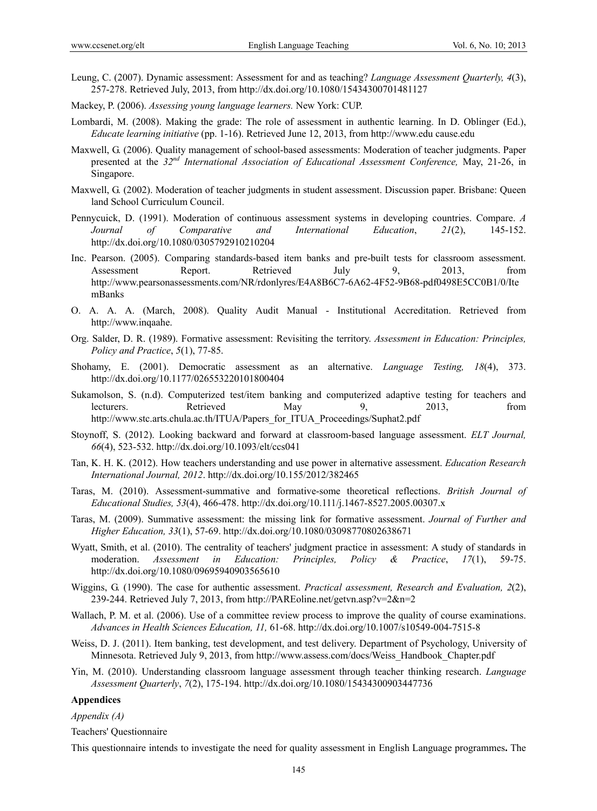- Leung, C. (2007). Dynamic assessment: Assessment for and as teaching? *Language Assessment Quarterly, 4*(3), 257-278. Retrieved July, 2013, from http://dx.doi.org/10.1080/15434300701481127
- Mackey, P. (2006). *Assessing young language learners.* New York: CUP.
- Lombardi, M. (2008). Making the grade: The role of assessment in authentic learning. In D. Oblinger (Ed.), *Educate learning initiative* (pp. 1-16). Retrieved June 12, 2013, from http://www.edu cause.edu
- Maxwell, G. (2006). Quality management of school-based assessments: Moderation of teacher judgments. Paper presented at the *32nd International Association of Educational Assessment Conference,* May, 21-26, in Singapore.
- Maxwell, G. (2002). Moderation of teacher judgments in student assessment. Discussion paper. Brisbane: Queen land School Curriculum Council.
- Pennycuick, D. (1991). Moderation of continuous assessment systems in developing countries. Compare. *A Journal of Comparative and International Education*, *21*(2), 145-152. http://dx.doi.org/10.1080/0305792910210204
- Inc. Pearson. (2005). Comparing standards-based item banks and pre-built tests for classroom assessment. Assessment Report. Retrieved July 9, 2013, from http://www.pearsonassessments.com/NR/rdonlyres/E4A8B6C7-6A62-4F52-9B68-pdf0498E5CC0B1/0/Ite mBanks
- O. A. A. A. (March, 2008). Quality Audit Manual Institutional Accreditation. Retrieved from http://www.inqaahe.
- Org. Salder, D. R. (1989). Formative assessment: Revisiting the territory. *Assessment in Education: Principles, Policy and Practice*, *5*(1), 77-85.
- Shohamy, E. (2001). Democratic assessment as an alternative. *Language Testing, 18*(4), 373. http://dx.doi.org/10.1177/026553220101800404
- Sukamolson, S. (n.d). Computerized test/item banking and computerized adaptive testing for teachers and lecturers. Retrieved May 9, 2013, from http://www.stc.arts.chula.ac.th/ITUA/Papers\_for\_ITUA\_Proceedings/Suphat2.pdf
- Stoynoff, S. (2012). Looking backward and forward at classroom-based language assessment. *ELT Journal, 66*(4), 523-532. http://dx.doi.org/10.1093/elt/ccs041
- Tan, K. H. K. (2012). How teachers understanding and use power in alternative assessment. *Education Research International Journal, 2012*. http://dx.doi.org/10.155/2012/382465
- Taras, M. (2010). Assessment-summative and formative-some theoretical reflections. *British Journal of Educational Studies, 53*(4), 466-478. http://dx.doi.org/10.111/j.1467-8527.2005.00307.x
- Taras, M. (2009). Summative assessment: the missing link for formative assessment. *Journal of Further and Higher Education, 33*(1), 57-69. http://dx.doi.org/10.1080/03098770802638671
- Wyatt, Smith, et al. (2010). The centrality of teachers' judgment practice in assessment: A study of standards in moderation. *Assessment in Education: Principles, Policy & Practice*, *17*(1), 59-75. http://dx.doi.org/10.1080/09695940903565610
- Wiggins, G. (1990). The case for authentic assessment. *Practical assessment, Research and Evaluation, 2*(2), 239-244. Retrieved July 7, 2013, from http://PAREoline.net/getvn.asp?v=2&n=2
- Wallach, P. M. et al. (2006). Use of a committee review process to improve the quality of course examinations. *Advances in Health Sciences Education, 11,* 61-68. http://dx.doi.org/10.1007/s10549-004-7515-8
- Weiss, D. J. (2011). Item banking, test development, and test delivery. Department of Psychology, University of Minnesota. Retrieved July 9, 2013, from http://www.assess.com/docs/Weiss\_Handbook\_Chapter.pdf
- Yin, M. (2010). Understanding classroom language assessment through teacher thinking research. *Language Assessment Quarterly*, *7*(2), 175-194. http://dx.doi.org/10.1080/15434300903447736

## **Appendices**

#### *Appendix (A)*

Teachers' Questionnaire

This questionnaire intends to investigate the need for quality assessment in English Language programmes**.** The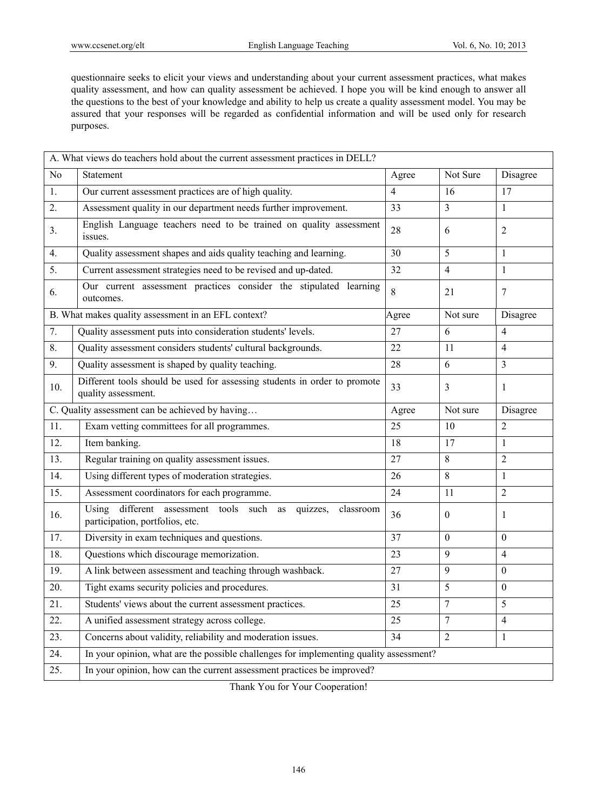questionnaire seeks to elicit your views and understanding about your current assessment practices, what makes quality assessment, and how can quality assessment be achieved. I hope you will be kind enough to answer all the questions to the best of your knowledge and ability to help us create a quality assessment model. You may be assured that your responses will be regarded as confidential information and will be used only for research purposes.

|                                                 | A. What views do teachers hold about the current assessment practices in DELL?                       |       |                |                  |
|-------------------------------------------------|------------------------------------------------------------------------------------------------------|-------|----------------|------------------|
| N <sub>0</sub>                                  | Statement                                                                                            | Agree | Not Sure       | Disagree         |
| 1.                                              | Our current assessment practices are of high quality.                                                | 4     | 16             | 17               |
| 2.                                              | Assessment quality in our department needs further improvement.                                      | 33    | 3              | $\mathbf{1}$     |
| 3 <sub>1</sub>                                  | English Language teachers need to be trained on quality assessment<br>issues.                        | 28    | 6              | 2                |
| 4.                                              | Quality assessment shapes and aids quality teaching and learning.                                    | 30    | 5              | $\mathbf{1}$     |
| 5.                                              | Current assessment strategies need to be revised and up-dated.                                       | 32    | $\overline{4}$ | $\mathbf{1}$     |
| 6.                                              | Our current assessment practices consider the stipulated learning<br>outcomes.                       | 8     | 21             | 7                |
|                                                 | B. What makes quality assessment in an EFL context?                                                  | Agree | Not sure       | Disagree         |
| 7.                                              | Quality assessment puts into consideration students' levels.                                         | 27    | 6              | $\overline{4}$   |
| 8.                                              | Quality assessment considers students' cultural backgrounds.                                         | 22    | 11             | $\overline{4}$   |
| 9.                                              | Quality assessment is shaped by quality teaching.                                                    | 28    | 6              | 3                |
| 10.                                             | Different tools should be used for assessing students in order to promote<br>quality assessment.     | 33    | $\mathfrak{Z}$ | 1                |
| C. Quality assessment can be achieved by having |                                                                                                      | Agree | Not sure       | Disagree         |
| 11.                                             | Exam vetting committees for all programmes.                                                          | 25    | 10             | $\overline{2}$   |
| 12.                                             | Item banking.                                                                                        | 18    | 17             | $\mathbf{1}$     |
| 13.                                             | Regular training on quality assessment issues.                                                       | 27    | 8              | $\overline{2}$   |
| 14.                                             | Using different types of moderation strategies.                                                      | 26    | 8              | $\mathbf{1}$     |
| 15.                                             | Assessment coordinators for each programme.                                                          | 24    | 11             | 2                |
| 16.                                             | different assessment tools such as quizzes,<br>Using<br>classroom<br>participation, portfolios, etc. | 36    | $\mathbf{0}$   | 1                |
| 17.                                             | Diversity in exam techniques and questions.                                                          | 37    | $\theta$       | $\theta$         |
| 18.                                             | Questions which discourage memorization.                                                             | 23    | 9              | $\overline{4}$   |
| 19.                                             | A link between assessment and teaching through washback.                                             | 27    | 9              | $\theta$         |
| 20.                                             | Tight exams security policies and procedures.                                                        | 31    | 5              | $\boldsymbol{0}$ |
| 21.                                             | Students' views about the current assessment practices.                                              | 25    |                | 5                |
| 22.                                             | A unified assessment strategy across college.                                                        | 25    | $\overline{7}$ | $\overline{4}$   |
| 23.                                             | Concerns about validity, reliability and moderation issues.                                          | 34    | $\overline{2}$ | $\mathbf{1}$     |
| 24.                                             | In your opinion, what are the possible challenges for implementing quality assessment?               |       |                |                  |
| 25.                                             | In your opinion, how can the current assessment practices be improved?                               |       |                |                  |

Thank You for Your Cooperation!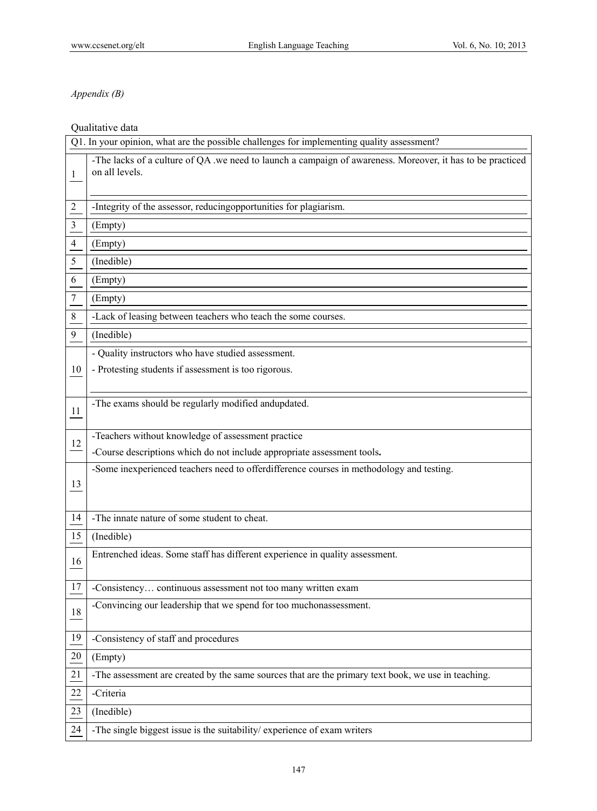# *Appendix (B)*

# Qualitative data

|                | Q1. In your opinion, what are the possible challenges for implementing quality assessment?                                   |
|----------------|------------------------------------------------------------------------------------------------------------------------------|
| 1              | -The lacks of a culture of QA .we need to launch a campaign of awareness. Moreover, it has to be practiced<br>on all levels. |
| $\overline{2}$ | -Integrity of the assessor, reducingopportunities for plagiarism.                                                            |
| 3              | (Empty)                                                                                                                      |
| 4              | (Empty)                                                                                                                      |
| 5              | (Inedible)                                                                                                                   |
| 6              | (Empty)                                                                                                                      |
| 7              | (Empty)                                                                                                                      |
| $\,$ 8 $\,$    | -Lack of leasing between teachers who teach the some courses.                                                                |
| 9              | (Inedible)                                                                                                                   |
|                | - Quality instructors who have studied assessment.                                                                           |
| 10             | - Protesting students if assessment is too rigorous.                                                                         |
|                |                                                                                                                              |
| 11             | -The exams should be regularly modified andupdated.                                                                          |
|                | -Teachers without knowledge of assessment practice                                                                           |
| 12             | -Course descriptions which do not include appropriate assessment tools.                                                      |
|                | -Some inexperienced teachers need to offerdifference courses in methodology and testing.                                     |
| 13             |                                                                                                                              |
|                |                                                                                                                              |
| 14             | -The innate nature of some student to cheat.                                                                                 |
| 15             | (Inedible)                                                                                                                   |
| 16             | Entrenched ideas. Some staff has different experience in quality assessment.                                                 |
|                |                                                                                                                              |
| $17\,$         | -Consistency continuous assessment not too many written exam                                                                 |
| 18             | -Convincing our leadership that we spend for too muchonassessment.                                                           |
| 19             | -Consistency of staff and procedures                                                                                         |
| 20             | (Empty)                                                                                                                      |
| 21             | -The assessment are created by the same sources that are the primary text book, we use in teaching.                          |
| 22             | -Criteria                                                                                                                    |
| 23             | (Inedible)                                                                                                                   |
| 24             | -The single biggest issue is the suitability/ experience of exam writers                                                     |